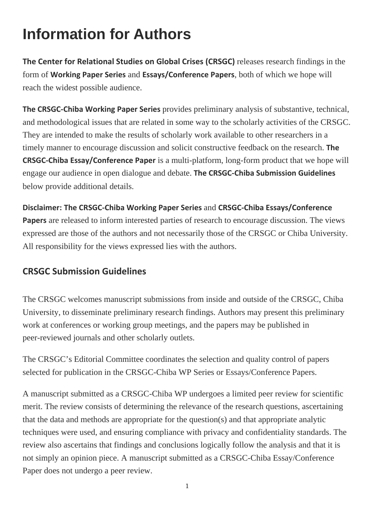## **Information for Authors**

**The Center for Relational Studies on Global Crises (CRSGC)** releases research findings in the form of **Working Paper Series** and **Essays/Conference Papers**, both of which we hope will reach the widest possible audience.

**The CRSGC‐Chiba Working Paper Series** provides preliminary analysis of substantive, technical, and methodological issues that are related in some way to the scholarly activities of the CRSGC. They are intended to make the results of scholarly work available to other researchers in a timely manner to encourage discussion and solicit constructive feedback on the research. **The CRSGC‐Chiba Essay/Conference Paper** is a multi-platform, long-form product that we hope will engage our audience in open dialogue and debate. **The CRSGC‐Chiba Submission Guidelines** below provide additional details.

**Disclaimer: The CRSGC‐Chiba Working Paper Series** and **CRSGC‐Chiba Essays/Conference Papers** are released to inform interested parties of research to encourage discussion. The views expressed are those of the authors and not necessarily those of the CRSGC or Chiba University. All responsibility for the views expressed lies with the authors.

## **CRSGC Submission Guidelines**

The CRSGC welcomes manuscript submissions from inside and outside of the CRSGC, Chiba University, to disseminate preliminary research findings. Authors may present this preliminary work at conferences or working group meetings, and the papers may be published in peer-reviewed journals and other scholarly outlets.

The CRSGC's Editorial Committee coordinates the selection and quality control of papers selected for publication in the CRSGC-Chiba WP Series or Essays/Conference Papers.

A manuscript submitted as a CRSGC-Chiba WP undergoes a limited peer review for scientific merit. The review consists of determining the relevance of the research questions, ascertaining that the data and methods are appropriate for the question(s) and that appropriate analytic techniques were used, and ensuring compliance with privacy and confidentiality standards. The review also ascertains that findings and conclusions logically follow the analysis and that it is not simply an opinion piece. A manuscript submitted as a CRSGC-Chiba Essay/Conference Paper does not undergo a peer review.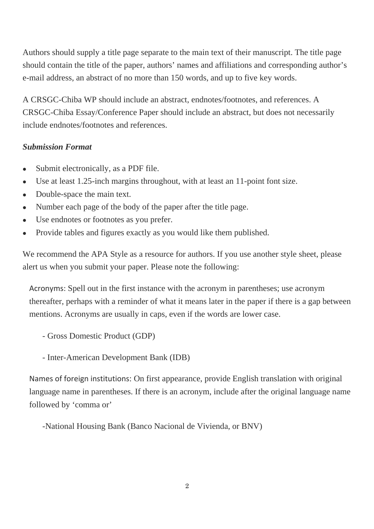Authors should supply a title page separate to the main text of their manuscript. The title page should contain the title of the paper, authors' names and affiliations and corresponding author's e-mail address, an abstract of no more than 150 words, and up to five key words.

A CRSGC-Chiba WP should include an abstract, endnotes/footnotes, and references. A CRSGC-Chiba Essay/Conference Paper should include an abstract, but does not necessarily include endnotes/footnotes and references.

## *Submission Format*

- Submit electronically, as a PDF file.
- Use at least 1.25-inch margins throughout, with at least an 11-point font size.
- Double-space the main text.
- Number each page of the body of the paper after the title page.
- Use endnotes or footnotes as you prefer.
- Provide tables and figures exactly as you would like them published.

We recommend the APA Style as a resource for authors. If you use another style sheet, please alert us when you submit your paper. Please note the following:

Acronyms: Spell out in the first instance with the acronym in parentheses; use acronym thereafter, perhaps with a reminder of what it means later in the paper if there is a gap between mentions. Acronyms are usually in caps, even if the words are lower case.

- Gross Domestic Product (GDP)

- Inter-American Development Bank (IDB)

Names of foreign institutions: On first appearance, provide English translation with original language name in parentheses. If there is an acronym, include after the original language name followed by 'comma or'

-National Housing Bank (Banco Nacional de Vivienda, or BNV)